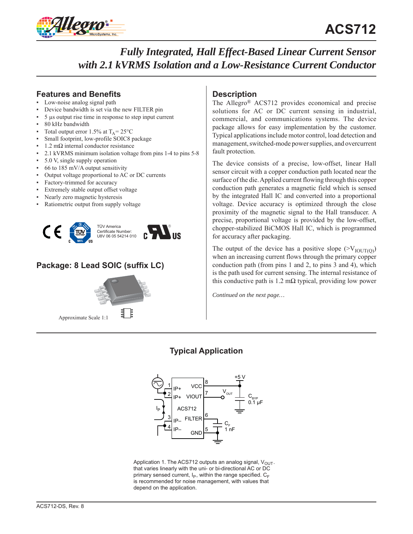

## **Features and Benefits**

- Low-noise analog signal path
- Device bandwidth is set via the new FILTER pin
- 5 μs output rise time in response to step input current
- 80 kHz bandwidth
- Total output error 1.5% at  $T_A = 25^{\circ}C$
- Small footprint, low-profile SOIC8 package
- $1.2$  mΩ internal conductor resistance
- 2.1 kVRMS minimum isolation voltage from pins 1-4 to pins 5-8
- 5.0 V, single supply operation
- $66$  to 185 mV/A output sensitivity
- Output voltage proportional to AC or DC currents
- Factory-trimmed for accuracy
- Extremely stable output offset voltage
- Nearly zero magnetic hysteresis
- Ratiometric output from supply voltage



# **Package: 8 Lead SOIC (suffix LC)**



# **Description**

The Allegro® ACS712 provides economical and precise solutions for AC or DC current sensing in industrial, commercial, and communications systems. The device package allows for easy implementation by the customer. Typical applications include motor control, load detection and management, switched-mode power supplies, and overcurrent fault protection.

The device consists of a precise, low-offset, linear Hall sensor circuit with a copper conduction path located near the surface of the die. Applied current flowing through this copper conduction path generates a magnetic field which is sensed by the integrated Hall IC and converted into a proportional voltage. Device accuracy is optimized through the close proximity of the magnetic signal to the Hall transducer. A precise, proportional voltage is provided by the low-offset, chopper-stabilized BiCMOS Hall IC, which is programmed for accuracy after packaging.

The output of the device has a positive slope  $(>V_{\text{IOUTI}})$ when an increasing current flows through the primary copper conduction path (from pins 1 and 2, to pins 3 and 4), which is the path used for current sensing. The internal resistance of this conductive path is 1.2 m $\Omega$  typical, providing low power

*Continued on the next page…*

# **Typical Application**



Application 1. The ACS712 outputs an analog signal,  $V_{OUT}$ . that varies linearly with the uni- or bi-directional AC or DC primary sensed current,  $I_P$ , within the range specified.  $C_F$ is recommended for noise management, with values that depend on the application.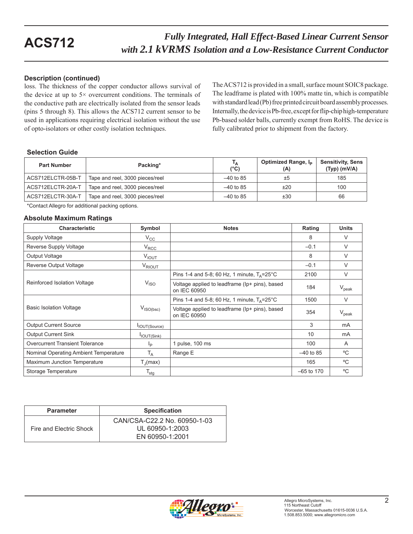### **Description (continued)**

loss. The thickness of the copper conductor allows survival of the device at up to  $5 \times$  overcurrent conditions. The terminals of the conductive path are electrically isolated from the sensor leads (pins 5 through 8). This allows the ACS712 current sensor to be used in applications requiring electrical isolation without the use of opto-isolators or other costly isolation techniques.

The ACS712 is provided in a small, surface mount SOIC8 package. The leadframe is plated with 100% matte tin, which is compatible with standard lead (Pb) free printed circuit board assembly processes. Internally, the device is Pb-free, except for flip-chip high-temperature Pb-based solder balls, currently exempt from RoHS. The device is fully calibrated prior to shipment from the factory.

### **Selection Guide**

| <b>Part Number</b> | Packing*                        | Т <sub>А</sub><br>$(^{\circ}C)$ | Optimized Range, I <sub>p</sub><br>(A) | <b>Sensitivity, Sens</b><br>$(Typ)$ (mV/A) |
|--------------------|---------------------------------|---------------------------------|----------------------------------------|--------------------------------------------|
| ACS712ELCTR-05B-T  | Tape and reel, 3000 pieces/reel | $-40$ to 85                     | $\pm 5$                                | 185                                        |
| ACS712ELCTR-20A-T  | Tape and reel, 3000 pieces/reel | $-40$ to 85                     | ±20                                    | 100                                        |
| ACS712ELCTR-30A-T  | Tape and reel, 3000 pieces/reel | $-40$ to 85                     | ±30                                    | 66                                         |

\*Contact Allegro for additional packing options.

### **Absolute Maximum Ratings**

| <b>Characteristic</b>                  | Symbol                           | <b>Notes</b>                                                   | Rating       | <b>Units</b>   |
|----------------------------------------|----------------------------------|----------------------------------------------------------------|--------------|----------------|
| Supply Voltage                         | $V_{\rm CC}$                     |                                                                | 8            | V              |
| Reverse Supply Voltage                 | $V_{RCC}$                        |                                                                | $-0.1$       | V              |
| Output Voltage                         | $V_{IOUT}$                       |                                                                | 8            | $\vee$         |
| Reverse Output Voltage                 | V <sub>RIOUT</sub>               |                                                                | $-0.1$       | V              |
|                                        |                                  | Pins 1-4 and 5-8; 60 Hz, 1 minute, $T_A = 25^{\circ}$ C        | 2100         | $\vee$         |
| Reinforced Isolation Voltage           | V <sub>ISO</sub>                 | Voltage applied to leadframe (Ip+ pins), based<br>on IEC 60950 | 184          | $V_{\rm peak}$ |
|                                        |                                  | Pins 1-4 and 5-8; 60 Hz, 1 minute, $T_A = 25^{\circ}$ C        | 1500         | V              |
| <b>Basic Isolation Voltage</b>         | $V_{\mathsf{ISO}(\mathsf{bsc})}$ | Voltage applied to leadframe (Ip+ pins), based<br>on IEC 60950 | 354          | $V_{\rm peak}$ |
| <b>Output Current Source</b>           | IOUT(Source)                     |                                                                | 3            | m <sub>A</sub> |
| <b>Output Current Sink</b>             | IOUT(Sink)                       |                                                                | 10           | mA             |
| <b>Overcurrent Transient Tolerance</b> | Ιp                               | 1 pulse, 100 ms                                                | 100          | A              |
| Nominal Operating Ambient Temperature  | $T_A$                            | Range E                                                        | $-40$ to 85  | °C             |
| Maximum Junction Temperature           | $T_{\parallel}$ (max)            |                                                                | 165          | °C             |
| Storage Temperature                    | $T_{\sf stg}$                    |                                                                | $-65$ to 170 | °C             |

| <b>Parameter</b>        | <b>Specification</b>                                               |
|-------------------------|--------------------------------------------------------------------|
| Fire and Electric Shock | CAN/CSA-C22.2 No. 60950-1-03<br>UL 60950-1:2003<br>EN 60950-1:2001 |

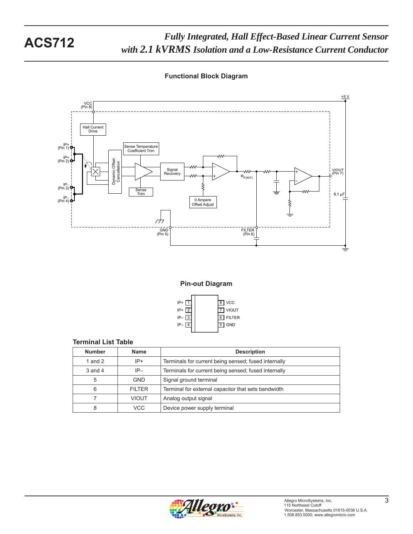*Fully Integrated, Hall Effect-Based Linear Current Sensor ruly Integrated, Hall Effect-Based Linear Current Sensor*<br>with 2.1 kVRMS Isolation and a Low-Resistance Current Conductor

### **Functional Block Diagram**



**Pin-out Diagram**



### **Terminal List Table**

| <b>Number</b> | <b>Name</b>   | <b>Description</b>                                   |
|---------------|---------------|------------------------------------------------------|
| 1 and $2$     | $IP+$         | Terminals for current being sensed; fused internally |
| $3$ and $4$   | $IP-$         | Terminals for current being sensed; fused internally |
| 5             | <b>GND</b>    | Signal ground terminal                               |
| 6             | <b>FILTER</b> | Terminal for external capacitor that sets bandwidth  |
|               | <b>VIOUT</b>  | Analog output signal                                 |
| 8             | VCC.          | Device power supply terminal                         |

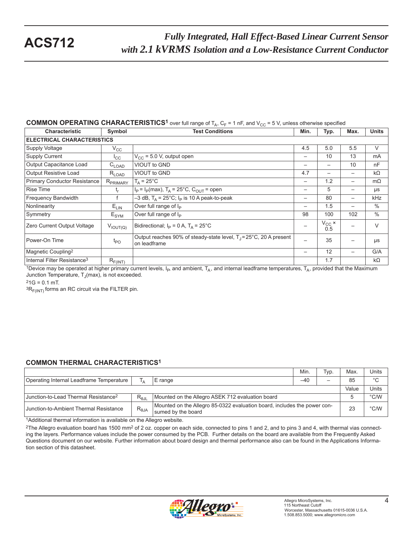### **COMMON OPERATING CHARACTERISTICS<sup>1</sup>** over full range of  $T_A$ ,  $C_F$  = 1 nF, and  $V_{CC}$  = 5 V, unless otherwise specified

| <b>Characteristic</b>                   | Symbol                            | <b>Test Conditions</b>                                                                       | Min.              | Typ.           | Max.                     | <b>Units</b> |  |  |  |
|-----------------------------------------|-----------------------------------|----------------------------------------------------------------------------------------------|-------------------|----------------|--------------------------|--------------|--|--|--|
|                                         | <b>ELECTRICAL CHARACTERISTICS</b> |                                                                                              |                   |                |                          |              |  |  |  |
| Supply Voltage                          | $V_{\rm CC}$                      |                                                                                              | 4.5               | 5.0            | 5.5                      | V            |  |  |  |
| <b>Supply Current</b>                   | $I_{\rm CC}$                      | $V_{CC}$ = 5.0 V, output open                                                                | $\qquad \qquad -$ | 10             | 13                       | mA           |  |  |  |
| Output Capacitance Load                 | $C_{\mathsf{LOAD}}$               | <b>VIOUT to GND</b>                                                                          | $\qquad \qquad -$ | —              | 10                       | nF           |  |  |  |
| <b>Output Resistive Load</b>            | $R_{LOAD}$                        | VIOUT to GND                                                                                 | 4.7               | —              |                          | $k\Omega$    |  |  |  |
| <b>Primary Conductor Resistance</b>     | R <sub>PRIMARY</sub>              | $T_A = 25^{\circ}C$                                                                          |                   | 1.2            | $\overline{\phantom{0}}$ | $m\Omega$    |  |  |  |
| <b>Rise Time</b>                        | t,                                | $I_P = I_P(max)$ , T <sub>A</sub> = 25°C, C <sub>OUT</sub> = open                            |                   | 5              | $\overline{\phantom{0}}$ | μs           |  |  |  |
| <b>Frequency Bandwidth</b>              |                                   | $-3$ dB, T <sub>A</sub> = 25°C; I <sub>P</sub> is 10 A peak-to-peak                          |                   | 80             | $\overline{\phantom{m}}$ | kHz          |  |  |  |
| Nonlinearity                            | $E_{LIN}$                         | Over full range of I <sub>P</sub>                                                            |                   | 1.5            | $\overline{\phantom{0}}$ | $\%$         |  |  |  |
| Symmetry                                | $E_{\text{SYM}}$                  | Over full range of I <sub>P</sub>                                                            | 98                | 100            | 102                      | $\%$         |  |  |  |
| Zero Current Output Voltage             | $V_{IOUT(Q)}$                     | Bidirectional; $I_P = 0 A$ , $T_A = 25^{\circ}C$                                             |                   | $V_{CC}$ × 0.5 |                          | $\vee$       |  |  |  |
| Power-On Time                           | $t_{PO}$                          | Output reaches 90% of steady-state level, $T_1 = 25^{\circ}$ C, 20 A present<br>on leadframe | —                 | 35             |                          | μs           |  |  |  |
| Magnetic Coupling <sup>2</sup>          |                                   |                                                                                              |                   | 12             | $\overline{\phantom{0}}$ | G/A          |  |  |  |
| Internal Filter Resistance <sup>3</sup> | $R_{F(INT)}$                      |                                                                                              |                   | 1.7            |                          | $k\Omega$    |  |  |  |

1Device may be operated at higher primary current levels,  $I_P$ , and ambient,  $T_A$ , and internal leadframe temperatures,  $T_A$ , provided that the Maximum Junction Temperature,  $T_J$ (max), is not exceeded.

 $21G = 0.1$  mT.

 ${}^{3}R_{F(INT)}$  forms an RC circuit via the FILTER pin.

### **COMMON THERMAL CHARACTERISTICS1**

|                                                  |                |                                                                                                | Min.  | Typ. | Max.  | Units         |
|--------------------------------------------------|----------------|------------------------------------------------------------------------------------------------|-------|------|-------|---------------|
| Operating Internal Leadframe Temperature         | Ι۸             | E range                                                                                        | $-40$ |      | 85    | $^{\circ}C$   |
|                                                  |                |                                                                                                |       |      | Value | Units         |
| Junction-to-Lead Thermal Resistance <sup>2</sup> | $R_{0,II}$     | Mounted on the Allegro ASEK 712 evaluation board                                               |       |      |       | $\degree$ C/W |
| Junction-to-Ambient Thermal Resistance           | $R_{\theta$ JA | Mounted on the Allegro 85-0322 evaluation board, includes the power con-<br>sumed by the board |       |      | 23    | $\degree$ C/W |

1Additional thermal information is available on the Allegro website.

<sup>2</sup>The Allegro evaluation board has 1500 mm<sup>2</sup> of 2 oz. copper on each side, connected to pins 1 and 2, and to pins 3 and 4, with thermal vias connecting the layers. Performance values include the power consumed by the PCB. Further details on the board are available from the Frequently Asked Questions document on our website. Further information about board design and thermal performance also can be found in the Applications Information section of this datasheet.

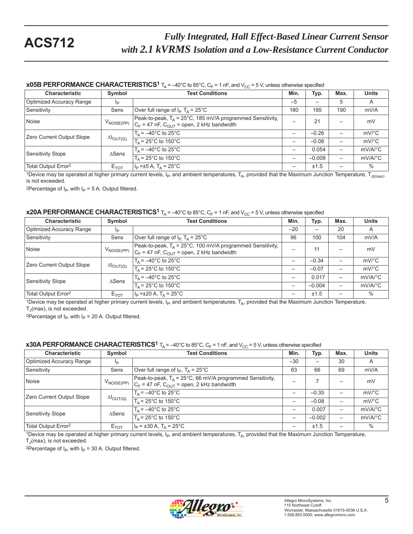### **x05B PERFORMANCE CHARACTERISTICS<sup>1</sup>**  $T_A$  = -40°C to 85°C,  $C_F$  = 1 nF, and  $V_{CC}$  = 5 V, unless otherwise specified

| <b>Characteristic</b>           | Symbol                     | <b>Test Conditions</b>                                                                                           | Min. | Typ.     | Max. | <b>Units</b>          |
|---------------------------------|----------------------------|------------------------------------------------------------------------------------------------------------------|------|----------|------|-----------------------|
| <b>Optimized Accuracy Range</b> | Ip                         |                                                                                                                  | $-5$ |          | 5    | A                     |
| Sensitivity                     | Sens                       | Over full range of $I_P$ T <sub>A</sub> = 25°C                                                                   | 180  | 185      | 190  | mV/A                  |
| Noise                           | $V_{\text{NOISE(PP)}}$     | Peak-to-peak, $T_A$ = 25°C, 185 mV/A programmed Sensitivity,<br>$C_F$ = 47 nF, $C_{OUT}$ = open, 2 kHz bandwidth | -    | 21       |      | mV                    |
| Zero Current Output Slope       |                            | $T_A = -40^{\circ}$ C to 25°C                                                                                    | —    | $-0.26$  |      | $mV$ °C               |
|                                 | $\Delta I_{\text{OUT}(Q)}$ | $T_A$ = 25°C to 150°C                                                                                            | —    | $-0.08$  |      | $mV$ °C               |
| Sensitivity Slope               | $\triangle$ Sens           | $T_A = -40^{\circ}$ C to 25°C                                                                                    | —    | 0.054    |      | $mV/A$ <sup>°</sup> C |
|                                 |                            | $T_0$ = 25°C to 150°C                                                                                            |      | $-0.008$ | —    | $mV/A$ <sup>o</sup> C |
| Total Output Error <sup>2</sup> | $E_{TOT}$                  | $I_{\rm p} = \pm 5$ A, T <sub>A</sub> = 25 <sup>°</sup> C                                                        | —    | ±1.5     |      | $\%$                  |

1Device may be operated at higher primary current levels,  $I_P$ , and ambient temperatures,  $T_A$ , provided that the Maximum Junction Temperature,  $T_{J(max)}$ , is not exceeded.

<sup>2</sup>Percentage of  $I_P$ , with  $I_P = 5$  A. Output filtered.

### **x20A PERFORMANCE CHARACTERISTICS<sup>1</sup>**  $T_A = -40^\circ$ C to 85°C,  $C_F = 1$  nF, and  $V_{CC} = 5$  V, unless otherwise specified

| <b>Characteristic</b>           | Symbol                     | <b>Test Conditions</b>                                                                                                                                                                | Min.  | Typ.                     | Max. | <b>Units</b>          |
|---------------------------------|----------------------------|---------------------------------------------------------------------------------------------------------------------------------------------------------------------------------------|-------|--------------------------|------|-----------------------|
| Optimized Accuracy Range        | Iр                         |                                                                                                                                                                                       | $-20$ | $\overline{\phantom{0}}$ | 20   | A                     |
| Sensitivity                     | Sens                       | Over full range of $I_P$ T <sub>A</sub> = 25°C                                                                                                                                        | 96    | 100                      | 104  | mV/A                  |
| Noise                           |                            | Peak-to-peak, $T_A = 25^{\circ}$ C, 100 mV/A programmed Sensitivity,<br>$V_{\text{NOISE(PP)}}$ $ C_{\text{F}} = 47 \text{ nF}, C_{\text{OUT}} = \text{open}, 2 \text{ kHz bandwidth}$ |       | 11                       |      | mV                    |
| Zero Current Output Slope       | $\Delta I_{\text{OUT}(Q)}$ | $T_A = -40^{\circ}$ C to 25°C                                                                                                                                                         |       | $-0.34$                  |      | $mV$ <sup>o</sup> $C$ |
|                                 |                            | $T_A$ = 25°C to 150°C                                                                                                                                                                 |       | $-0.07$                  |      | $mV$ <sup>o</sup> $C$ |
| Sensitivity Slope               | $\triangle$ Sens           | $T_A = -40^{\circ}$ C to 25°C                                                                                                                                                         |       | 0.017                    |      | $mV/A$ <sup>o</sup> C |
|                                 |                            | $T_A$ = 25°C to 150°C                                                                                                                                                                 |       | $-0.004$                 |      | $mV/A$ <sup>o</sup> C |
| Total Output Error <sup>2</sup> | $E_{TOT}$                  | $I_P = \pm 20 A$ , $T_A = 25^{\circ}C$                                                                                                                                                |       | ±1.5                     |      | $\%$                  |

1Device may be operated at higher primary current levels,  $I_{P}$ , and ambient temperatures,  $T_A$ , provided that the Maximum Junction Temperature,  $T_J$ (max), is not exceeded.

<sup>2</sup>Percentage of  $I_P$ , with  $I_P$  = 20 A. Output filtered.

### **x30A PERFORMANCE CHARACTERISTICS<sup>1</sup>** T<sub>A</sub> = -40°C to 85°C,  $C_F$  = 1 nF, and  $V_{CC}$  = 5 V, unless otherwise specified

| <b>Characteristic</b>           | Symbol                     | <b>Test Conditions</b>                                                                                                  | Min.                     | Typ.                     | Max. | <b>Units</b>            |
|---------------------------------|----------------------------|-------------------------------------------------------------------------------------------------------------------------|--------------------------|--------------------------|------|-------------------------|
| Optimized Accuracy Range        |                            |                                                                                                                         | $-30$                    | $\overline{\phantom{0}}$ | 30   | A                       |
| Sensitivity                     | Sens                       | Over full range of $I_P$ , $T_A = 25^{\circ}C$                                                                          | 63                       | 66                       | 69   | mV/A                    |
| Noise                           | $V_{\text{NOISE(PP)}}$     | Peak-to-peak, $T_A = 25^{\circ}$ C, 66 mV/A programmed Sensitivity,<br>$C_F$ = 47 nF, $C_{OUT}$ = open, 2 kHz bandwidth |                          |                          |      | mV                      |
| Zero Current Output Slope       | $\Delta I_{\text{OUT}(Q)}$ | $T_A = -40^{\circ}$ C to 25°C                                                                                           | $\overline{\phantom{0}}$ | $-0.35$                  |      | $mV$ °C                 |
|                                 |                            | $T_A$ = 25°C to 150°C                                                                                                   |                          | $-0.08$                  |      | $mV$ °C                 |
| Sensitivity Slope               | $\triangle$ Sens           | $T_A = -40^{\circ}$ C to 25°C                                                                                           | $\overline{\phantom{0}}$ | 0.007                    |      | $mV/A$ <sup>°</sup> C   |
|                                 |                            | $T_A$ = 25°C to 150°C                                                                                                   |                          | $-0.002$                 |      | $mV/A$ <sup>o</sup> $C$ |
| Total Output Error <sup>2</sup> | $E_{TOT}$                  | $I_P = \pm 30 A$ , $T_A = 25^{\circ}C$                                                                                  |                          | ±1.5                     |      | $\%$                    |

<sup>1</sup>Device may be operated at higher primary current levels,  $I_P$ , and ambient temperatures,  $T_A$ , provided that the Maximum Junction Temperature,  $T_J$ (max), is not exceeded.

<sup>2</sup>Percentage of  $I_P$ , with  $I_P$  = 30 A. Output filtered.

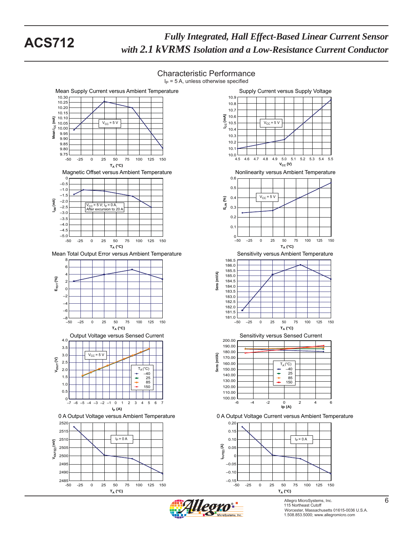











Allegro MicroSystems, Inc. 6 115 Northeast Cutoff **6** Worcester, Massachusetts 01615-0036 U.S.A. 1.508.853.5000; www.allegromicro.com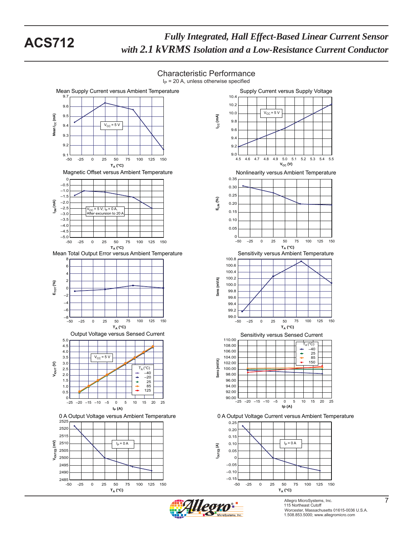$I<sub>P</sub>$  = 20 A, unless otherwise specified Mean Supply Current versus Ambient Temperature Supply Current versus Supply Voltage 9.7 10.4 10.2  $9.6$ 10.0  $V_{CC}$  = 5 V 9.5 **ICC (mA)** Mean I<sub>CC</sub> (mA) Mean I<sub>CC</sub> (mA) 9.8  $V_{CC}$  = 5 V 9.4 9.6 9.3 9.4 9.2 9.2 9.0  $9.1 - 50$ 4.5 4.6 4.8 4.7 4.9 5.0 5.3 5.1 5.2 5.4 5.5 -50 -25 0 25 50 75 100 125 150 **V<sub>cc</sub>** (V) **TA (°C)** Magnetic Offset versus Ambient Temperature Nonlinearity versus Ambient Temperature 0.35 0 –0.5 0.30  $-1.0$ 0.25 –1.5 **ELIN (%) IOM (mA)** –2.0  $0.20$ –2.5  $V_{CC}$  = 5 V;  $I_P$  = 0 A<br>After excursion to : 0.15 –3.0 ion to 20 –3.5 0.10  $-4.0$ 0.05 –4.5 ـا 5.0–<br>50- $\Omega$ –50 –25 0 25 50 75 100 125 150 -50 -25 0 25 50 75 100 125 150 **TA (°C) TA (°C)** Mean Total Output Error versus Ambient Temperature Sensitivity versus Ambient Temperature 100.8 8 100.6 6 100.4 4 100.2  $(mVM)$ **Sens (mV/A)** 2 **ETOT (%)** 100.0  $\Omega$ Sens 99.8 –2 99.6 –4 99.4 –6 99.2 ــا 99.0<br>50– —8<br>50– –50 –25 0 25 50 75 100 125 150 -50 -25 0 25 50 75 100 125 150 **TA (°C) TA (°C)** Output Voltage versus Sensed Current Sensitivity versus Sensed Current<br>110.00 5.0  $\overline{\Gamma_{\Lambda}(\mathrm{^{\circ}C})}$ 108.00 4.5 –40 4.0 106.00  $\ddot{\phantom{1}}$ 25 85 3.5  $V_{CC}$  = 5 V 104.00  $(mVM)$ **Sens (mV/A)** 3.0 102.00 150  $V<sub>IOUT</sub> (V)$  $T_A (^{\circ}C)$ 2.5 100.00 –40 Sens 2.0 98.00 ÷  $-20$ 1.5 96.00  $\ddot{\phantom{a}}$ 25 85 94.00 1.0 125 92.00 0.5  $0$  –<br>-25  $90.00$   $-25$ –25 –20 –15 –10 –5 0 5 10 15 20 25 –25 –20 –15 –10 –5 0 5 10 15 20 25 **Ip (A) IP (A)** 0 A Output Voltage versus Ambient Temperature 0 A Output Voltage Current versus Ambient Temperature 2525 0.25 2520 0.20 2515 0.15 **VIOUT(Q) (mV)** 2510 0.10 IP = 0 A IP = 0 A **IOUT(Q) (A)** 2505 0.05 2500 0 –0.05 2495  $-0.10$ 2490  $-0.15$ ــا 2485<br>50--50 -25 0 25 50 75 100 125 150 -50 -25 0 25 50 75 100 125 150 **TA (°C) TA (°C)**

Characteristic Performance



Allegro MicroSystems, Inc. 7<br>115 Northeast Cutoff Worcester, Massachusetts 01615-0036 U.S.A. 1.508.853.5000; www.allegromicro.com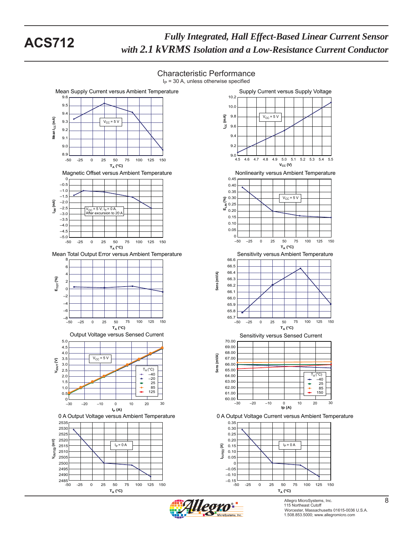$I<sub>P</sub>$  = 30 A, unless otherwise specified Supply Current versus Supply Voltage Mean Supply Current versus Ambient Temperature 10.2 9.6  $9.5$ 10.0 9.4 **ICC (mA)**  $9.8$  $V_{CC}$  = 5 V  $\widehat{\mathsf{f}}$ Mean I<sub>CC</sub> (mA) 9.3  $V_{CC}$  = 5 V 9.6 Mean I<sub>cc</sub> 9.2 9.4 9.1 9.2 9.0 8.9  $9.0$   $-$ <br>4.5 4.5 4.6 4.8 4.7 4.9 5.0 5.1 5.2 5.4 5.5 5.3 -50 -25 0 25 50 75 100 125 150 **TA (°C)**  $V_{CC}$  (V) Magnetic Offset versus Ambient Temperature Nonlinearity versus Ambient Temperature 0.45 0 –0.5 0.40  $-1.0$ 0.35  $\hat{\mathcal{S}}^{0.30}$  $-1.5$  $V_{CC}$  = 5 V **T**<sub>9</sub> 0.30<br>■ 0.25<br>■ 0.20 **IOM (mA)**  $-2.0$ 0.25 –2.5 V<sub>CC</sub> = 5 V; I<sub>P</sub> = 0 A,<br>After excursion to 20 A –3.0 0.15 –3.5 0.10  $-4.0$ 0.05  $-4.5$ –5.0 0 –50 –25 0 25 50 75 100 125 150 -50 -25 0 25 50 75 100 125 150 **TA (°C) TA (°C)** Mean Total Output Error versus Ambient Temperature Sensitivity versus Ambient Temperature 66.6 8 66.5 6 66.4 Sens (mV/A) **Sens (mV/A)** 4 **ETOT (%)** 66.3 2 66.2 0 66. –2 66.0 –4 65.9  $-6$ 65.8  $65.7 \perp$  $-50$ –50 –25 0 25 50 75 100 125 150 –50 –25 0 25 50 75 100 125 150 **TA (°C) TA (°C)** Output Voltage versus Sensed Current Sensitivity versus Sensed Current 5.0 70.00 4.5 69.00 68.00 4.0  $(mVA)$ **Sens (mV/A)** 3.5  $V_{CC}$  = 5 V 67.00  $V_{\text{IOUT}}(V)$ 3.0 66.00 Sens 2.5  $T_A (°C)$ <br>- -40 65.00 TA –40 (°C) 64.00  $T_A(^{\circ}C)$ <br>-  $-40$ 2.0  $\stackrel{+}{\scriptscriptstyle +}$ 25 –20 63.00 1.5 25 85 1.0 ÷ 85 62.00 125  $0.5$ 61.00 150  $_{-30}^{\circ}$  $60.00 - 30$ –30 –20 –10 0 10 20 30 –30 –20 –10 0 10 20 30 **Ip (A) IP (A)** 0 A Output Voltage versus Ambient Temperature 0 A Output Voltage Current versus Ambient Temperature 2535 0.35 2530 0.30 0.25 252 2520 0.20 **VIOUT(Q) (mV)** 2515  $I_P = 0 A$   $I_P = 0 A$   $I_P = 0 A$ **IOUT(Q) (A)** 0.15 2510 0.10 250 0.05 250  $\epsilon$ 2495 –0.05 249  $-0.10$ ــا 0.15—<br>50-ــا 2485<br>50--50 -25 0 25 50 75 100 125 150 -50 -25 0 25 50 75 100 125 150

Characteristic Performance



**TA (°C)**

Allegro MicroSystems, Inc. 8 115 Northeast Cutoff **8** Worcester, Massachusetts 01615-0036 U.S.A. 1.508.853.5000; www.allegromicro.com

**TA (°C)**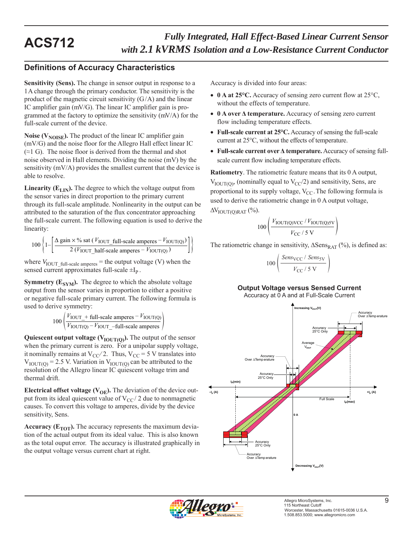## **Definitions of Accuracy Characteristics**

**Sensitivity (Sens).** The change in sensor output in response to a 1 A change through the primary conductor. The sensitivity is the product of the magnetic circuit sensitivity  $(G/A)$  and the linear IC amplifier gain (mV/G). The linear IC amplifier gain is programmed at the factory to optimize the sensitivity (mV/A) for the full-scale current of the device.

**Noise (** $V_{\text{NOISE}}$ **).** The product of the linear IC amplifier gain (mV/G) and the noise floor for the Allegro Hall effect linear IC  $(\approx 1 \text{ G})$ . The noise floor is derived from the thermal and shot noise observed in Hall elements. Dividing the noise (mV) by the sensitivity (mV/A) provides the smallest current that the device is able to resolve.

**Linearity (** $E_{LIN}$ **). The degree to which the voltage output from** the sensor varies in direct proportion to the primary current through its full-scale amplitude. Nonlinearity in the output can be attributed to the saturation of the flux concentrator approaching the full-scale current. The following equation is used to derive the linearity:

$$
100\left\{1-\left[\frac{\Delta \text{ gain} \times \% \text{ sat } (V_{\text{IOUT\_full-scale amperes}} - V_{\text{IOUT(Q)}})}{2 (V_{\text{IOUT\_half-scale amperes}} - V_{\text{IOUT(Q)}})}\right]\right\}
$$

where  $V_{\text{IOUT\_full-scale amperes}}$  = the output voltage (V) when the sensed current approximates full-scale  $\pm I_p$ .

**Symmetry (** $E_{SYM}$ **).** The degree to which the absolute voltage output from the sensor varies in proportion to either a positive or negative full-scale primary current. The following formula is used to derive symmetry:

$$
100 \left( \frac{V_{\text{IOUT}} + \text{full-scale amperes} - V_{\text{IOUT(Q)}}}{V_{\text{IOUT(Q)}} - V_{\text{IOUT}} - \text{full-scale amperes}} \right)
$$

**Quiescent output voltage (** $V_{\text{IOUT(O)}}$ **).** The output of the sensor when the primary current is zero. For a unipolar supply voltage, it nominally remains at  $V_{CC}/2$ . Thus,  $V_{CC} = 5$  V translates into  $V_{\text{IOUT(0)}} = 2.5$  V. Variation in  $V_{\text{IOUT(0)}}$  can be attributed to the resolution of the Allegro linear IC quiescent voltage trim and thermal drift.

**Electrical offset voltage (** $V_{OE}$ **).** The deviation of the device output from its ideal quiescent value of  $V_{CC}$  2 due to nonmagnetic causes. To convert this voltage to amperes, divide by the device sensitivity, Sens.

**Accuracy (** $E_{TOT}$ **).** The accuracy represents the maximum deviation of the actual output from its ideal value. This is also known as the total ouput error. The accuracy is illustrated graphically in the output voltage versus current chart at right.

Accuracy is divided into four areas:

- 0 A at 25°C. Accuracy of sensing zero current flow at 25°C, without the effects of temperature.
- **0 A over Δ temperature.** Accuracy of sensing zero current flow including temperature effects.
- **Full-scale current at 25°C.** Accuracy of sensing the full-scale current at 25°C, without the effects of temperature.
- **Full-scale current over Δ temperature.** Accuracy of sensing fullscale current flow including temperature effects.

**Ratiometry**. The ratiometric feature means that its 0 A output,  $V_{\text{IOUT(0)}}$ , (nominally equal to  $V_{\text{CC}}/2$ ) and sensitivity, Sens, are proportional to its supply voltage,  $V_{CC}$ . The following formula is used to derive the ratiometric change in 0 A output voltage,  $\Delta V_{\text{IOUT}(\text{O})\text{RAT}}$  (%).

$$
100\left(\frac{V_{\text{IOUT(Q)VCC}}/V_{\text{IOUT(Q)SV}}}{V_{\text{CC}}/5\text{ V}}\right)
$$

The ratiometric change in sensitivity,  $\Delta$ Sens<sub>RAT</sub> (%), is defined as:

$$
00\left(\frac{Sens_{\rm VCC} / Sens_{\rm SV}}{V_{\rm CC} / 5 \text{ V}}\right)
$$

 $\mathbf{1}$ 

### **Output Voltage versus Sensed Current**

Accuracy at 0 A and at Full-Scale Current



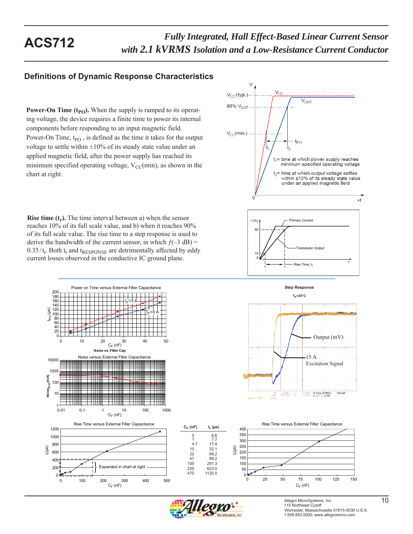## **Definitions of Dynamic Response Characteristics**

**Power-On Time**  $(t_{PO})$ **.** When the supply is ramped to its operating voltage, the device requires a finite time to power its internal components before responding to an input magnetic field. Power-On Time, t<sub>PO</sub>, is defined as the time it takes for the output voltage to settle within  $\pm 10\%$  of its steady state value under an applied magnetic field, after the power supply has reached its minimum specified operating voltage,  $V_{CC}(min)$ , as shown in the chart at right.

**Rise time**  $(t_r)$ **.** The time interval between a) when the sensor reaches 10% of its full scale value, and b) when it reaches 90% of its full scale value. The rise time to a step response is used to derive the bandwidth of the current sensor, in which  $f(-3 dB) =$  $0.35/t_r$ . Both  $t_r$  and  $t_{RESPONSE}$  are detrimentally affected by eddy current losses observed in the conductive IC ground plane.





Power on Time versus External Filter Capacitance 180 200 160 l $_\mathrm{P}$ =5 A 140  $t_{\text{p}}$  (μs) 120  $I_P$ =0 A  $100 -$ 60 80 40 20 0 0 10 20 30 40 50<br>C<sub>F</sub> (nF) **Noise vs. Filter Cap** Noise versus External Filter Capacitance 10000 1000 Noise<sub>(p-p)</sub> (mA) **Noise(p-p) (mA)** 100 10  $0.01$ 0.01 0.1 1 10 100 1000  $C_F$  (nF) 1200 1000 800 tr (μs) 600 400 Expanded in chart at right 200

0 100 200 300 400 500

 $C_F$  (nF)

 $\theta$ 







100 291.3<br>220 623.0 220 623.0 470 1120.0

 $C_F$  (**nF**) 0 6.6 1 7.7 4.7 17.4<br>10 32.1 10 32.1<br>22 68.2 22 68.2<br>47 88.2 88.2

> Allegro MicroSystems, Inc. <sup>10</sup> 115 Northeast Cutoff Worcester, Massachusetts 01615-0036 U.S.A. 1.508.853.5000; www.allegromicro.com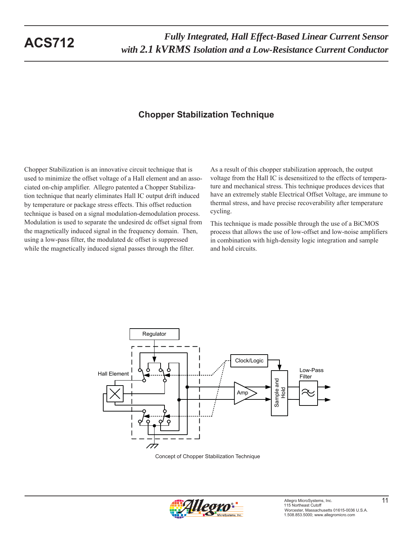# **Chopper Stabilization Technique**

Chopper Stabilization is an innovative circuit technique that is used to minimize the offset voltage of a Hall element and an associated on-chip amplifier. Allegro patented a Chopper Stabilization technique that nearly eliminates Hall IC output drift induced by temperature or package stress effects. This offset reduction technique is based on a signal modulation-demodulation process. Modulation is used to separate the undesired dc offset signal from the magnetically induced signal in the frequency domain. Then, using a low-pass filter, the modulated dc offset is suppressed while the magnetically induced signal passes through the filter.

As a result of this chopper stabilization approach, the output voltage from the Hall IC is desensitized to the effects of temperature and mechanical stress. This technique produces devices that have an extremely stable Electrical Offset Voltage, are immune to thermal stress, and have precise recoverability after temperature cycling.

This technique is made possible through the use of a BiCMOS process that allows the use of low-offset and low-noise amplifiers in combination with high-density logic integration and sample and hold circuits.



Concept of Chopper Stabilization Technique

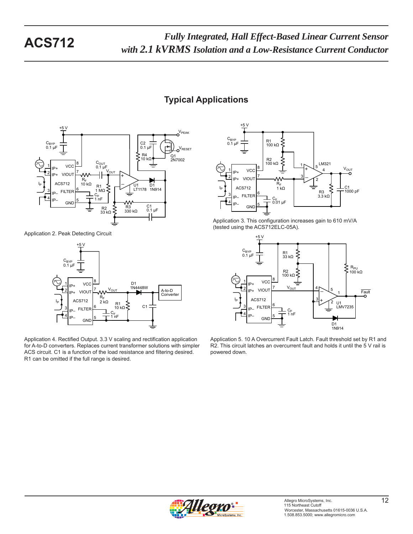# **Typical Applications**



Application 2. Peak Detecting Circuit



Application 4. Rectified Output. 3.3 V scaling and rectification application for A-to-D converters. Replaces current transformer solutions with simpler ACS circuit. C1 is a function of the load resistance and filtering desired. R1 can be omitted if the full range is desired.



Application 3. This configuration increases gain to 610 mV/A (tested using the ACS712ELC-05A).



Application 5. 10 A Overcurrent Fault Latch. Fault threshold set by R1 and R2. This circuit latches an overcurrent fault and holds it until the 5 V rail is powered down.

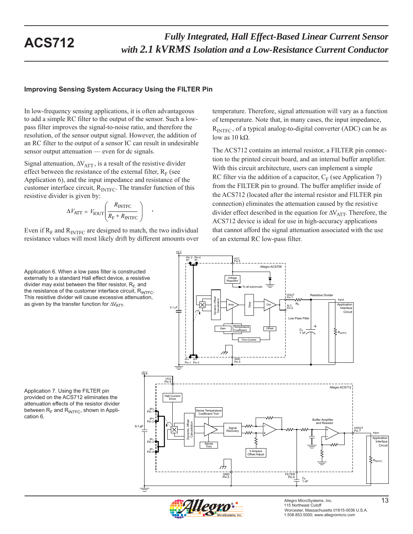### **Improving Sensing System Accuracy Using the FILTER Pin**

In low-frequency sensing applications, it is often advantageous to add a simple RC filter to the output of the sensor. Such a lowpass filter improves the signal-to-noise ratio, and therefore the resolution, of the sensor output signal. However, the addition of an RC filter to the output of a sensor IC can result in undesirable sensor output attenuation — even for dc signals.

Signal attenuation,  $\Delta V_{\text{ATT}}$ , is a result of the resistive divider effect between the resistance of the external filter,  $R_F$  (see Application 6), and the input impedance and resistance of the customer interface circuit,  $R_{\text{INTER}}$ . The transfer function of this resistive divider is given by:

$$
\Delta V_{\text{ATT}} = V_{\text{IOUT}} \left( \frac{R_{\text{INTER}}}{R_{\text{F}} + R_{\text{INTER}}} \right) \quad .
$$

Even if  $R_F$  and  $R_{\text{INTER}}$  are designed to match, the two individual resistance values will most likely drift by different amounts over

Application 6. When a low pass filter is constructed externally to a standard Hall effect device, a resistive divider may exist between the filter resistor,  $R_F$  and the resistance of the customer interface circuit,  $R_{\text{INTE}}$ . This resistive divider will cause excessive attenuation, as given by the transfer function for  $\Delta V_{\text{ATT}}$ .

Application 7. Using the FILTER pin provided on the ACS712 eliminates the attenuation effects of the resistor divider between  $R_F$  and  $R_{\text{INTER}}$ , shown in Application 6.

temperature. Therefore, signal attenuation will vary as a function of temperature. Note that, in many cases, the input impedance,  $R<sub>INTEC</sub>$ , of a typical analog-to-digital converter (ADC) can be as low as  $10$  kΩ.

The ACS712 contains an internal resistor, a FILTER pin connection to the printed circuit board, and an internal buffer amplifier. With this circuit architecture, users can implement a simple RC filter via the addition of a capacitor,  $C_F$  (see Application 7) from the FILTER pin to ground. The buffer amplifier inside of the ACS712 (located after the internal resistor and FILTER pin connection) eliminates the attenuation caused by the resistive divider effect described in the equation for  $\Delta V_{\text{ATT}}$ . Therefore, the ACS712 device is ideal for use in high-accuracy applications that cannot afford the signal attenuation associated with the use of an external RC low-pass filter.